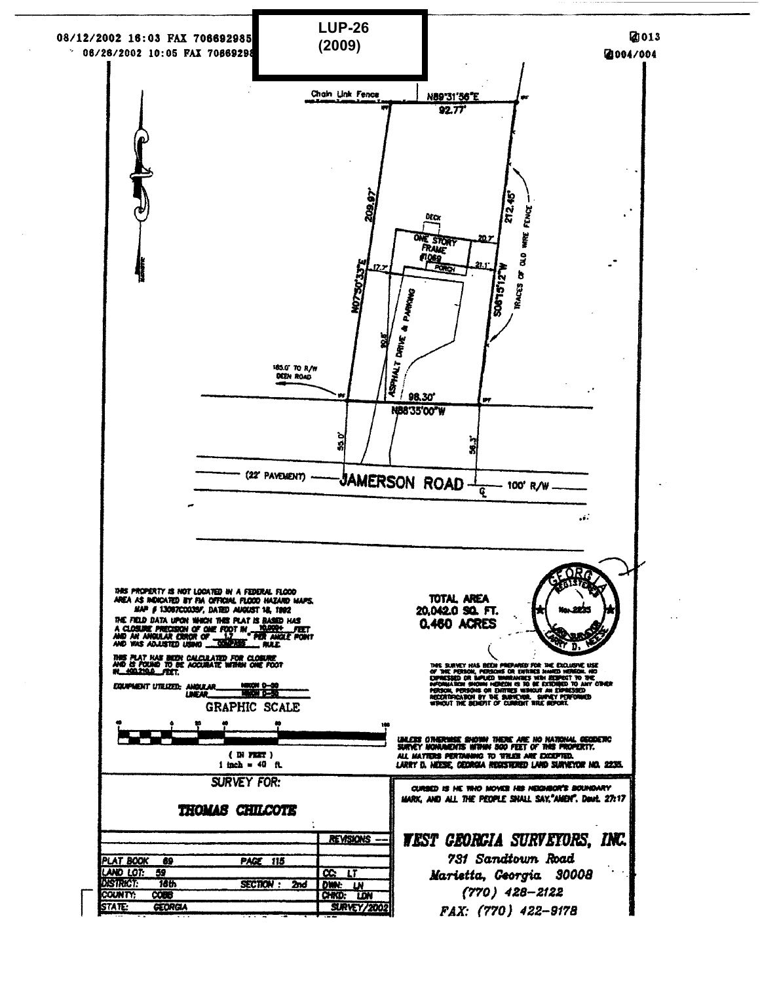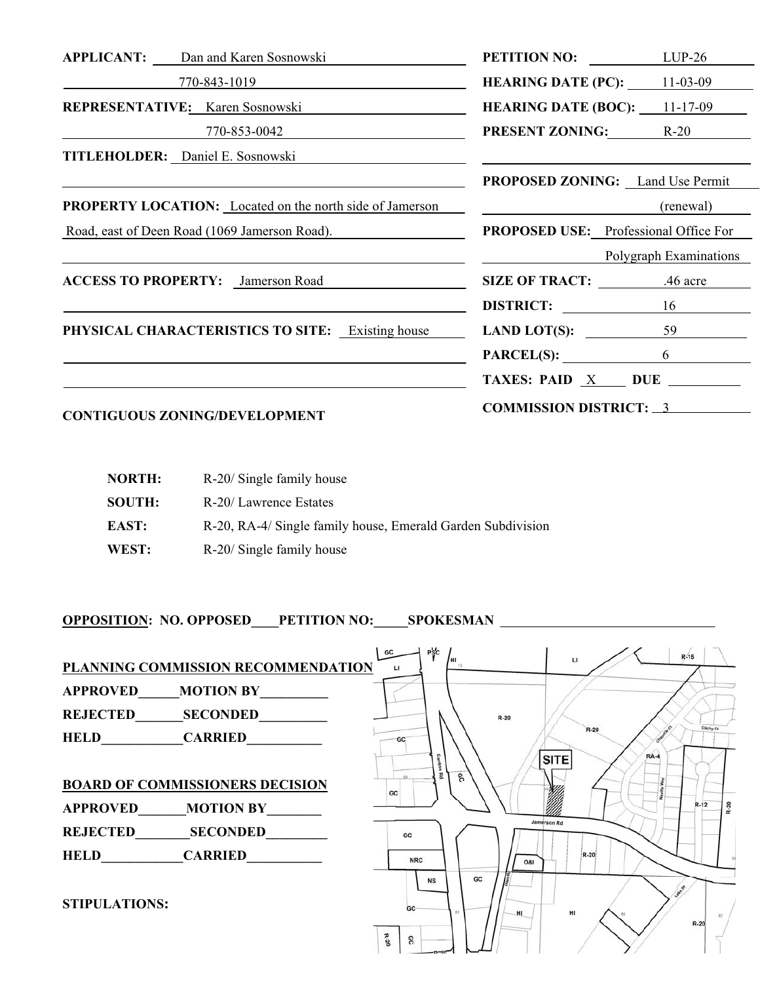| <b>APPLICANT:</b> Dan and Karen Sosnowski                                        | <b>PETITION NO:</b> LUP-26                      |                        |
|----------------------------------------------------------------------------------|-------------------------------------------------|------------------------|
| 770-843-1019                                                                     | <b>HEARING DATE (PC):</b> $11-03-09$            |                        |
| REPRESENTATIVE: Karen Sosnowski                                                  | <b>HEARING DATE (BOC):</b> $11-17-09$           |                        |
| $770 - 853 - 0042$                                                               | <b>PRESENT ZONING:</b> R-20                     |                        |
| TITLEHOLDER: Daniel E. Sosnowski                                                 |                                                 |                        |
|                                                                                  | <b>PROPOSED ZONING:</b> Land Use Permit         |                        |
| <b>PROPERTY LOCATION:</b> Located on the north side of Jamerson                  | <u> 1980 - Johann Barnett, fransk politik (</u> | (renewal)              |
| Road, east of Deen Road (1069 Jamerson Road).                                    | <b>PROPOSED USE:</b> Professional Office For    |                        |
| ,我们也不会有什么。""我们的人,我们也不会有什么?""我们的人,我们也不会有什么?""我们的人,我们也不会有什么?""我们的人,我们也不会有什么?""我们的人 |                                                 | Polygraph Examinations |
| <b>ACCESS TO PROPERTY:</b> Jamerson Road                                         | SIZE OF TRACT: 46 acre                          |                        |
|                                                                                  | DISTRICT: 16                                    |                        |
| <b>PHYSICAL CHARACTERISTICS TO SITE:</b> Existing house                          | LAND LOT(S): $\qquad \qquad$ 59                 |                        |
|                                                                                  | $PARCEL(S):$ 6                                  |                        |
|                                                                                  | TAXES: PAID $X$ DUE $\_\_\_\_\_\$               |                        |
| <b>CONTIGUOUS ZONING/DEVELOPMENT</b>                                             | <b>COMMISSION DISTRICT: 3</b>                   |                        |

| <b>NORTH:</b> | R-20/ Single family house                                   |
|---------------|-------------------------------------------------------------|
| <b>SOUTH:</b> | R-20/Lawrence Estates                                       |
| EAST:         | R-20, RA-4/ Single family house, Emerald Garden Subdivision |
| WEST:         | R-20/ Single family house                                   |

**OPPOSITION: NO. OPPOSED\_\_\_\_PETITION NO:\_\_\_\_\_SPOKESMAN** 

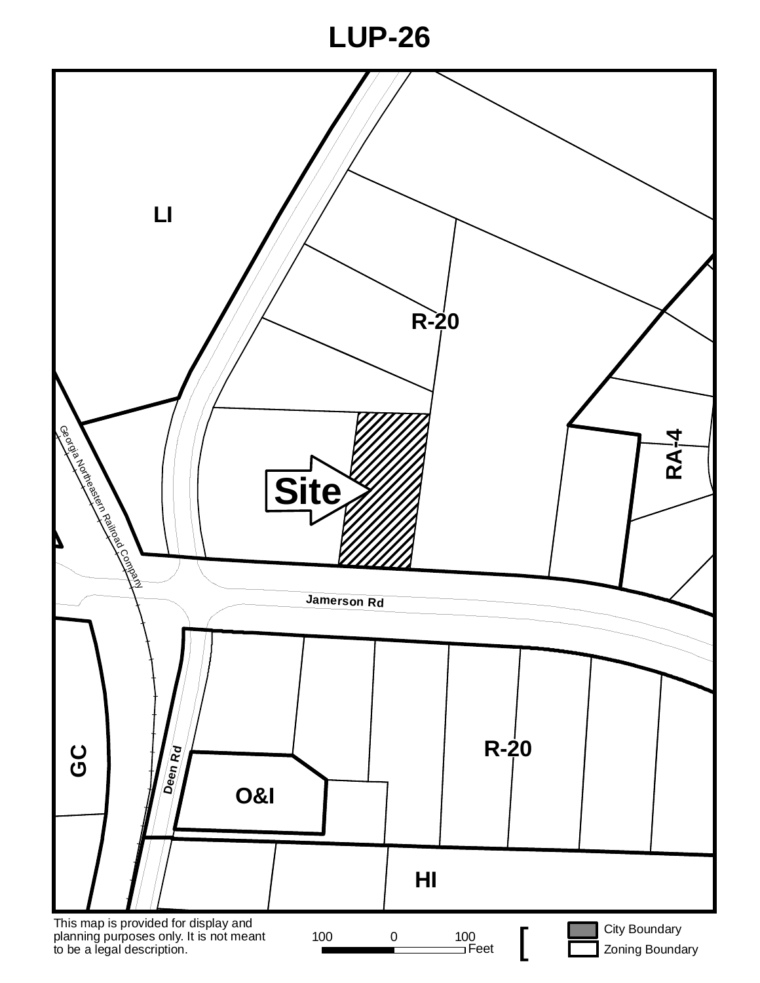# **LUP-26**

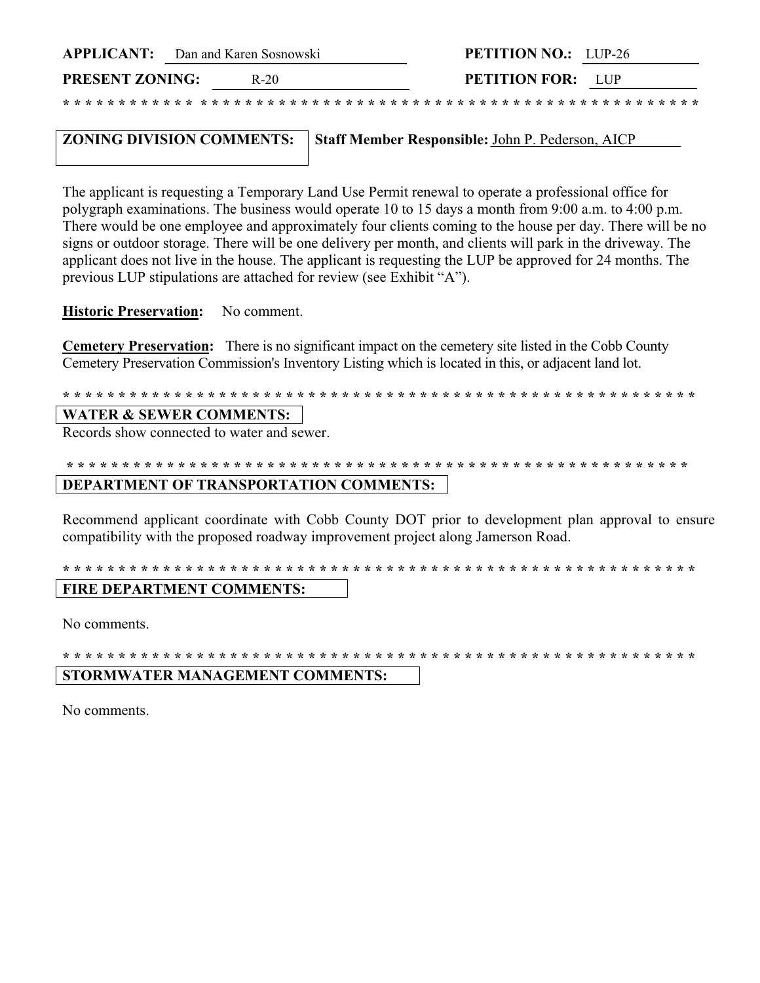|                        | <b>APPLICANT:</b> Dan and Karen Sosnowski |        | <b>PETITION NO.:</b> LUP-26 |  |
|------------------------|-------------------------------------------|--------|-----------------------------|--|
| <b>PRESENT ZONING:</b> |                                           | $R-20$ | <b>PETITION FOR:</b> LUP    |  |

#### **ZONING DIVISION COMMENTS:** Staff Member Responsible: John P. Pederson, AICP

The applicant is requesting a Temporary Land Use Permit renewal to operate a professional office for polygraph examinations. The business would operate 10 to 15 days a month from 9:00 a.m. to 4:00 p.m. There would be one employee and approximately four clients coming to the house per day. There will be no signs or outdoor storage. There will be one delivery per month, and clients will park in the driveway. The applicant does not live in the house. The applicant is requesting the LUP be approved for 24 months. The previous LUP stipulations are attached for review (see Exhibit "A").

**Historic Preservation:** No comment.

**Cemetery Preservation:** There is no significant impact on the cemetery site listed in the Cobb County Cemetery Preservation Commission's Inventory Listing which is located in this, or adjacent land lot.

### 

#### **WATER & SEWER COMMENTS:**

Records show connected to water and sewer.

#### 

#### DEPARTMENT OF TRANSPORTATION COMMENTS:

Recommend applicant coordinate with Cobb County DOT prior to development plan approval to ensure compatibility with the proposed roadway improvement project along Jamerson Road.

## 

#### FIRE DEPARTMENT COMMENTS:

No comments.

#### 

#### STORMWATER MANAGEMENT COMMENTS:

No comments.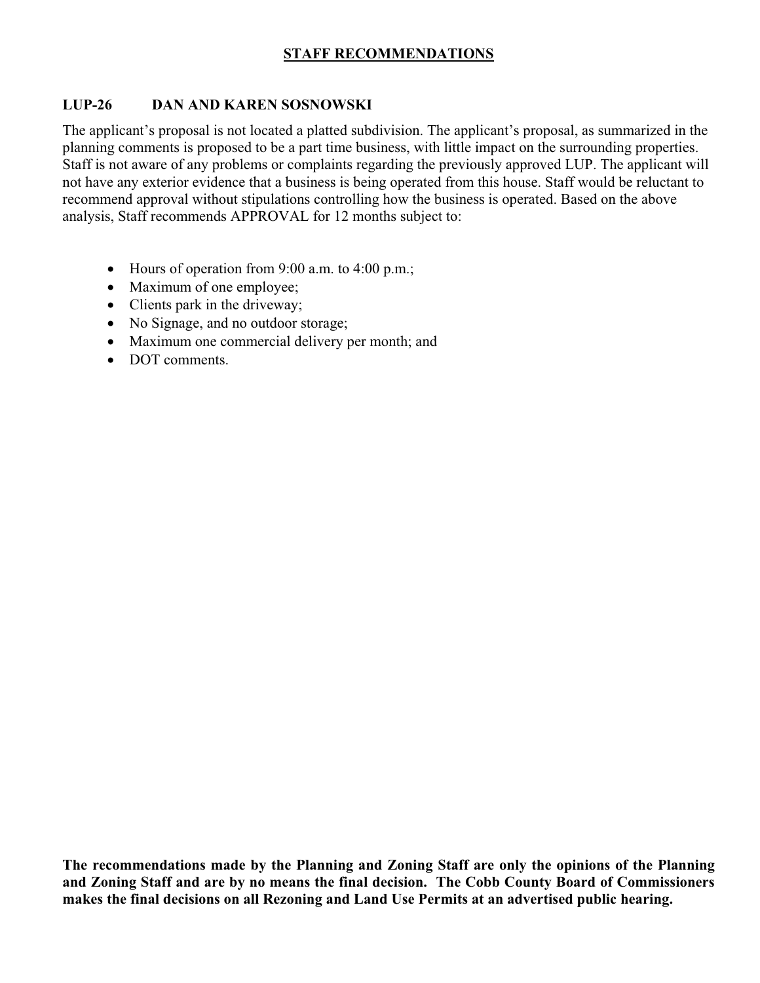### **STAFF RECOMMENDATIONS**

#### **LUP-26 DAN AND KAREN SOSNOWSKI**

The applicant's proposal is not located a platted subdivision. The applicant's proposal, as summarized in the planning comments is proposed to be a part time business, with little impact on the surrounding properties. Staff is not aware of any problems or complaints regarding the previously approved LUP. The applicant will not have any exterior evidence that a business is being operated from this house. Staff would be reluctant to recommend approval without stipulations controlling how the business is operated. Based on the above analysis, Staff recommends APPROVAL for 12 months subject to:

- Hours of operation from 9:00 a.m. to 4:00 p.m.;
- Maximum of one employee;
- Clients park in the driveway;
- No Signage, and no outdoor storage;
- Maximum one commercial delivery per month; and
- DOT comments.

**The recommendations made by the Planning and Zoning Staff are only the opinions of the Planning and Zoning Staff and are by no means the final decision. The Cobb County Board of Commissioners makes the final decisions on all Rezoning and Land Use Permits at an advertised public hearing.**